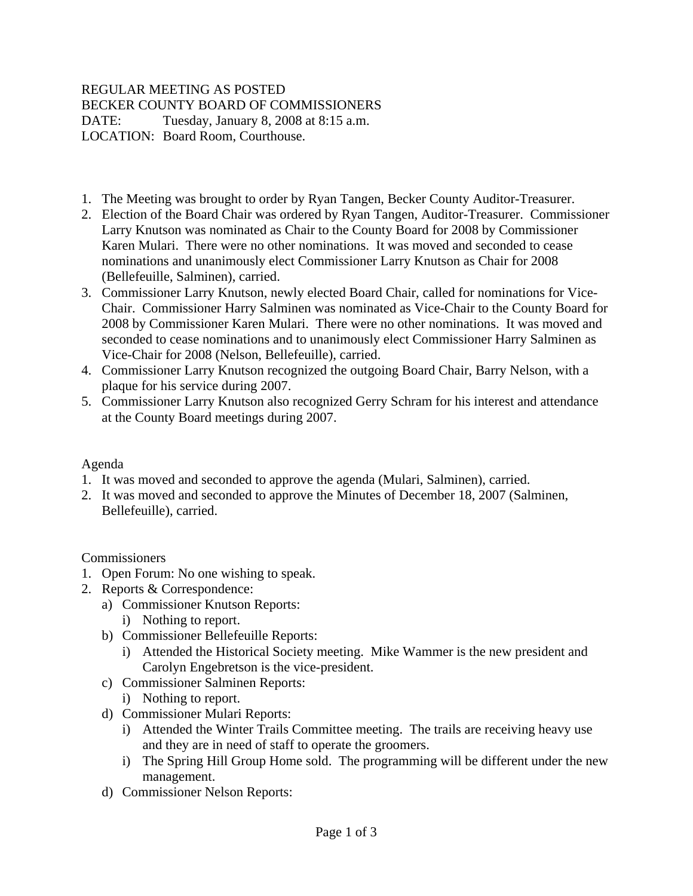## REGULAR MEETING AS POSTED BECKER COUNTY BOARD OF COMMISSIONERS DATE: Tuesday, January 8, 2008 at 8:15 a.m. LOCATION: Board Room, Courthouse.

- 1. The Meeting was brought to order by Ryan Tangen, Becker County Auditor-Treasurer.
- 2. Election of the Board Chair was ordered by Ryan Tangen, Auditor-Treasurer. Commissioner Larry Knutson was nominated as Chair to the County Board for 2008 by Commissioner Karen Mulari. There were no other nominations. It was moved and seconded to cease nominations and unanimously elect Commissioner Larry Knutson as Chair for 2008 (Bellefeuille, Salminen), carried.
- 3. Commissioner Larry Knutson, newly elected Board Chair, called for nominations for Vice-Chair. Commissioner Harry Salminen was nominated as Vice-Chair to the County Board for 2008 by Commissioner Karen Mulari. There were no other nominations. It was moved and seconded to cease nominations and to unanimously elect Commissioner Harry Salminen as Vice-Chair for 2008 (Nelson, Bellefeuille), carried.
- 4. Commissioner Larry Knutson recognized the outgoing Board Chair, Barry Nelson, with a plaque for his service during 2007.
- 5. Commissioner Larry Knutson also recognized Gerry Schram for his interest and attendance at the County Board meetings during 2007.

## Agenda

- 1. It was moved and seconded to approve the agenda (Mulari, Salminen), carried.
- 2. It was moved and seconded to approve the Minutes of December 18, 2007 (Salminen, Bellefeuille), carried.

**Commissioners** 

- 1. Open Forum: No one wishing to speak.
- 2. Reports & Correspondence:
	- a) Commissioner Knutson Reports:
		- i) Nothing to report.
	- b) Commissioner Bellefeuille Reports:
		- i) Attended the Historical Society meeting. Mike Wammer is the new president and Carolyn Engebretson is the vice-president.
	- c) Commissioner Salminen Reports:
		- i) Nothing to report.
	- d) Commissioner Mulari Reports:
		- i) Attended the Winter Trails Committee meeting. The trails are receiving heavy use and they are in need of staff to operate the groomers.
		- i) The Spring Hill Group Home sold. The programming will be different under the new management.
	- d) Commissioner Nelson Reports: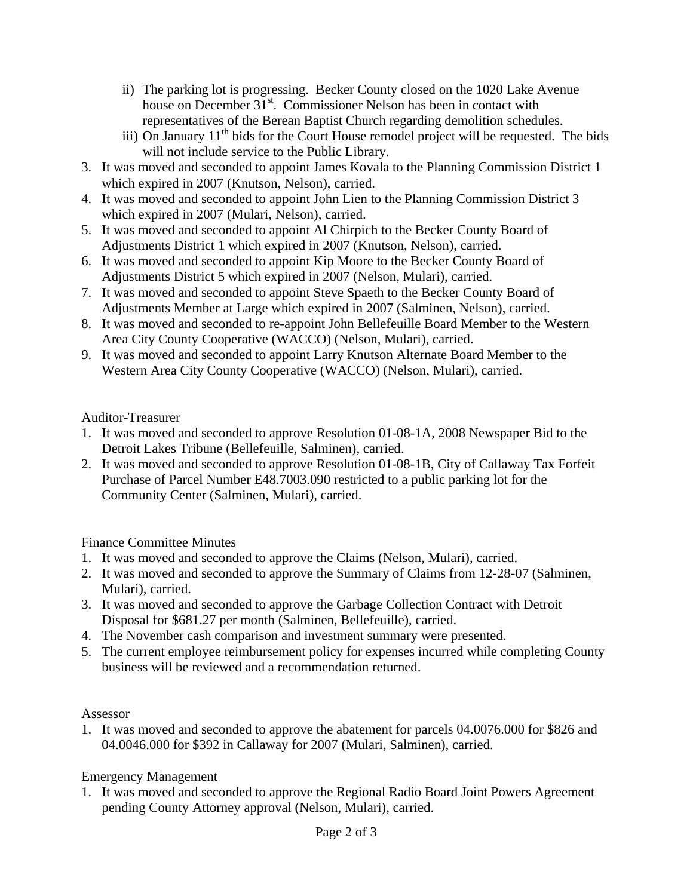- ii) The parking lot is progressing. Becker County closed on the 1020 Lake Avenue house on December 31<sup>st</sup>. Commissioner Nelson has been in contact with representatives of the Berean Baptist Church regarding demolition schedules.
- iii) On January  $11<sup>th</sup>$  bids for the Court House remodel project will be requested. The bids will not include service to the Public Library.
- 3. It was moved and seconded to appoint James Kovala to the Planning Commission District 1 which expired in 2007 (Knutson, Nelson), carried.
- 4. It was moved and seconded to appoint John Lien to the Planning Commission District 3 which expired in 2007 (Mulari, Nelson), carried.
- 5. It was moved and seconded to appoint Al Chirpich to the Becker County Board of Adjustments District 1 which expired in 2007 (Knutson, Nelson), carried.
- 6. It was moved and seconded to appoint Kip Moore to the Becker County Board of Adjustments District 5 which expired in 2007 (Nelson, Mulari), carried.
- 7. It was moved and seconded to appoint Steve Spaeth to the Becker County Board of Adjustments Member at Large which expired in 2007 (Salminen, Nelson), carried.
- 8. It was moved and seconded to re-appoint John Bellefeuille Board Member to the Western Area City County Cooperative (WACCO) (Nelson, Mulari), carried.
- 9. It was moved and seconded to appoint Larry Knutson Alternate Board Member to the Western Area City County Cooperative (WACCO) (Nelson, Mulari), carried.

Auditor-Treasurer

- 1. It was moved and seconded to approve Resolution 01-08-1A, 2008 Newspaper Bid to the Detroit Lakes Tribune (Bellefeuille, Salminen), carried.
- 2. It was moved and seconded to approve Resolution 01-08-1B, City of Callaway Tax Forfeit Purchase of Parcel Number E48.7003.090 restricted to a public parking lot for the Community Center (Salminen, Mulari), carried.

Finance Committee Minutes

- 1. It was moved and seconded to approve the Claims (Nelson, Mulari), carried.
- 2. It was moved and seconded to approve the Summary of Claims from 12-28-07 (Salminen, Mulari), carried.
- 3. It was moved and seconded to approve the Garbage Collection Contract with Detroit Disposal for \$681.27 per month (Salminen, Bellefeuille), carried.
- 4. The November cash comparison and investment summary were presented.
- 5. The current employee reimbursement policy for expenses incurred while completing County business will be reviewed and a recommendation returned.

## Assessor

1. It was moved and seconded to approve the abatement for parcels 04.0076.000 for \$826 and 04.0046.000 for \$392 in Callaway for 2007 (Mulari, Salminen), carried.

Emergency Management

1. It was moved and seconded to approve the Regional Radio Board Joint Powers Agreement pending County Attorney approval (Nelson, Mulari), carried.